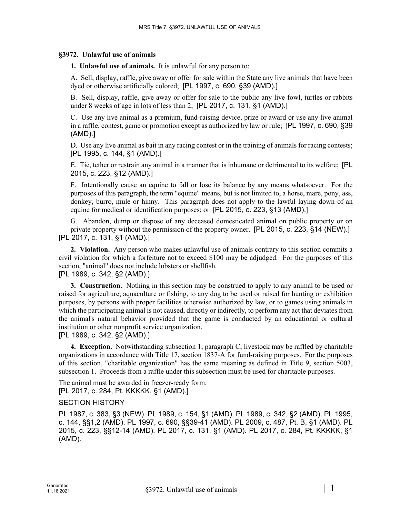## **§3972. Unlawful use of animals**

**1. Unlawful use of animals.** It is unlawful for any person to:

A. Sell, display, raffle, give away or offer for sale within the State any live animals that have been dyed or otherwise artificially colored; [PL 1997, c. 690, §39 (AMD).]

B. Sell, display, raffle, give away or offer for sale to the public any live fowl, turtles or rabbits under 8 weeks of age in lots of less than 2; [PL 2017, c. 131, §1 (AMD).]

C. Use any live animal as a premium, fund-raising device, prize or award or use any live animal in a raffle, contest, game or promotion except as authorized by law or rule; [PL 1997, c. 690, §39 (AMD).]

D. Use any live animal as bait in any racing contest or in the training of animals for racing contests; [PL 1995, c. 144, §1 (AMD).]

E. Tie, tether or restrain any animal in a manner that is inhumane or detrimental to its welfare; [PL 2015, c. 223, §12 (AMD).]

F. Intentionally cause an equine to fall or lose its balance by any means whatsoever. For the purposes of this paragraph, the term "equine" means, but is not limited to, a horse, mare, pony, ass, donkey, burro, mule or hinny. This paragraph does not apply to the lawful laying down of an equine for medical or identification purposes; or [PL 2015, c. 223, §13 (AMD).]

G. Abandon, dump or dispose of any deceased domesticated animal on public property or on private property without the permission of the property owner. [PL 2015, c. 223, §14 (NEW).] [PL 2017, c. 131, §1 (AMD).]

**2. Violation.** Any person who makes unlawful use of animals contrary to this section commits a civil violation for which a forfeiture not to exceed \$100 may be adjudged. For the purposes of this section, "animal" does not include lobsters or shellfish.

## [PL 1989, c. 342, §2 (AMD).]

**3. Construction.** Nothing in this section may be construed to apply to any animal to be used or raised for agriculture, aquaculture or fishing, to any dog to be used or raised for hunting or exhibition purposes, by persons with proper facilities otherwise authorized by law, or to games using animals in which the participating animal is not caused, directly or indirectly, to perform any act that deviates from the animal's natural behavior provided that the game is conducted by an educational or cultural institution or other nonprofit service organization.

[PL 1989, c. 342, §2 (AMD).]

**4. Exception.** Notwithstanding subsection 1, paragraph C, livestock may be raffled by charitable organizations in accordance with Title 17, section 1837‑A for fund-raising purposes. For the purposes of this section, "charitable organization" has the same meaning as defined in Title 9, section 5003, subsection 1. Proceeds from a raffle under this subsection must be used for charitable purposes.

The animal must be awarded in freezer-ready form. [PL 2017, c. 284, Pt. KKKKK, §1 (AMD).]

## SECTION HISTORY

PL 1987, c. 383, §3 (NEW). PL 1989, c. 154, §1 (AMD). PL 1989, c. 342, §2 (AMD). PL 1995, c. 144, §§1,2 (AMD). PL 1997, c. 690, §§39-41 (AMD). PL 2009, c. 487, Pt. B, §1 (AMD). PL 2015, c. 223, §§12-14 (AMD). PL 2017, c. 131, §1 (AMD). PL 2017, c. 284, Pt. KKKKK, §1 (AMD).